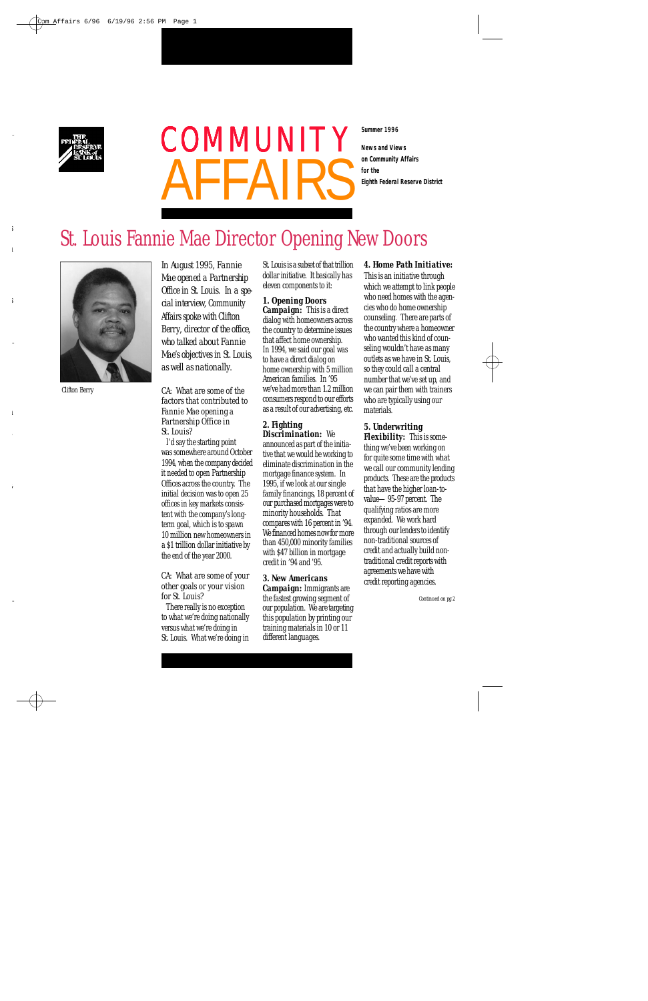

# **for the Eighth Federal Reserve District** COMMUNITY

**Summer 1996**

**News and Views on Community Affairs**

# St. Louis Fannie Mae Director Opening New Doors



*Clifton Berry*

*In August 1995, Fannie Mae opened a Partnership* Office in St. Louis. In a spe $cial$  interview, Community Affairs *spoke with Clifton Berry, director of the office, who talked about Fannie M a e 's objectives in St. Louis, as well as nationally.*

*CA: What are some of the factors that contributed to Fannie Mae opening a Partnership Office in St. Louis?*

I'd say the starting point was somewhere around October 1994, when the company decided it needed to open Partnership Offices across the country. The initial decision was to open 25 offices in key markets consistent with the company's longterm goal, which is to spawn 10 million new homeowners in a \$1 trillion dollar initiative by the end of the year 2000.

*CA: What are some of your other goals or your vision for St. Louis?*

There really is no exception to what we're doing nationally versus what we're doing in St. Louis. What we're doing in

St. Louis is a subset of that trillion dollar initiative. It basically has eleven components to it:

*1. Opening Doors Campaign:* This is a direct dialog with homeowners across the country to determine issues that affect home ownership. In 1994, we said our goal was to have a direct dialog on home ownership with 5 million American families. In '95 we've had more than 1.2 million consumers respond to our efforts as a result of our advertising, etc.

#### *2. Fighting*

*Discrimination:* We announced as part of the initiative that we would be working to eliminate discrimination in the mortgage finance system. In 1995, if we look at our single family financings, 18 percent of our purchased mortgages were to minority households. That compares with 16 percent in '94. We financed homes now for more than 450,000 minority families with \$47 billion in mortgage credit in '94 and '95.

*3. New Americans Campaign:* Immigrants are the fastest growing segment of our population. We are targeting this population by printing our training materials in 10 or 11 different languages.

*4. Home Path Initiative:*  This is an initiative through which we attempt to link people who need homes with the agencies who do home ownership counseling. There are parts of the country where a homeowner who wanted this kind of counseling wouldn't have as many outlets as we have in St. Louis, so they could call a central number that we've set up, and we can pair them with trainers who are typically using our materials.

*5. Underwriting Flexibility:* This is something we've been working on for quite some time with what we call our community lending products. These are the products that have the higher loan-tovalue—95-97 percent. The qualifying ratios are more expanded. We work hard through our lenders to identify non-traditional sources of credit and actually build nontraditional credit reports with agreements we have with credit reporting agencies.

*Continued on pg 2*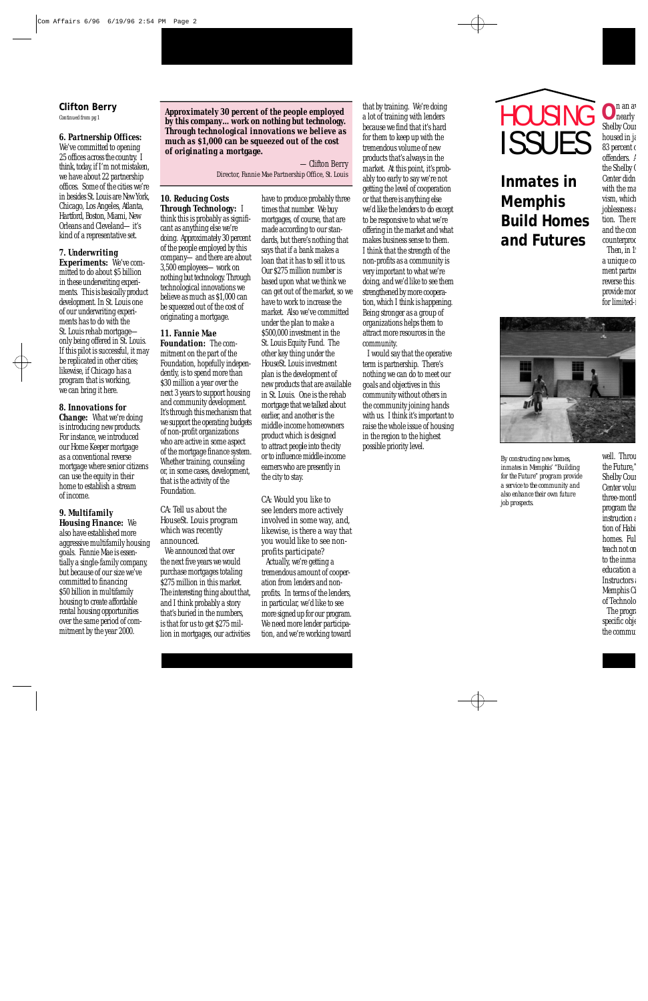### **Clifton Berry**

*Continued from pg 1*

*6. Partnership Offices:* We've committed to opening 25 offices across the country. I think, today, if I'm not mistaken, we have about 22 partnership offices. Some of the cities we're in besides St. Louis are New York. Chicago, Los Angeles, Atlanta, Hartford, Boston, Miami, New Orleans and Cleveland—it's kind of a representative set.

#### *7. Underwriting*

*Experiments:* We've committed to do about \$5 billion in these underwriting experiments. This is basically product development. In St. Louis one of our underwriting experiments has to do with the St. Louis rehab mortgage only being offered in St. Louis. If this pilot is successful, it may be replicated in other cities; likewise, if Chicago has a program that is working, we can bring it here.

*8. Innovations for Change:* What we're doing is introducing new products. For instance, we introduced our Home Keeper mortgage as a conventional reverse mortgage where senior citizens can use the equity in their home to establish a stream of income.

#### *9. Multifamily*

*Housing Finance:* We also have established more aggressive multifamily housing goals. Fannie Mae is essentially a single-family company, but because of our size we've committed to financing \$50 billion in multifamily housing to create affordable rental housing opportunities over the same period of commitment by the year 2000.

*Approximately 30 percent of the people employed by this company…work on nothing but technology. Through technological innovations we believe as much as \$1,000 can be squeezed out of the cost of originating a mortgage.*

> —Clifton Berry *Director, Fannie Mae Partnership Office, St. Louis*

*10. Reducing Costs Through Technology:* I think this is probably as significant as anything else we're doing. Approximately 30 percent of the people employed by this company—and there are about 3,500 employees—work on nothing but technology. Through technological innovations we believe as much as \$1,000 can be squeezed out of the cost of originating a mortgage.

*11. Fannie Mae Foundation:* The commitment on the part of the Foundation, hopefully independently, is to spend more than \$30 million a year over the next 3 years to support housing and community development. It's through this mechanism that we support the operating budgets of non-profit organizations who are active in some aspect of the mortgage finance system. Whether training, counseling or, in some cases, development, that is the activity of the Foundation.

*CA: Tell us about the HouseSt. Louis program which was recently announced.*

We announced that over the next five years we would purchase mortgages totaling \$275 million in this market. The interesting thing about that, and I think probably a story that's buried in the numbers, is that for us to get \$275 million in mortgages, our activities

have to produce probably three times that number. We buy mortgages, of course, that are made according to our standards, but there's nothing that says that if a bank makes a loan that it has to sell it to us. Our \$275 million number is based upon what we think we can get out of the market, so we have to work to increase the market. Also we've committed under the plan to make a \$500,000 investment in the St. Louis Equity Fund. The other key thing under the HouseSt. Louis investment plan is the development of new products that are available in St. Louis. One is the rehab mortgage that we talked about earlier, and another is the middle-income homeowners product which is designed to attract people into the city or to influence middle-income earners who are presently in the city to stay.

*CA: Would you like to see lenders more actively involved in some way, and, likewise, is there a way that you would like to see nonprofits participate?*

Actually, we're getting a tremendous amount of cooperation from lenders and nonprofits. In terms of the lenders, in particular, we'd like to see more signed up for our program. We need more lender participation, and we're working toward that by training. We're doing a lot of training with lenders because we find that it's hard for them to keep up with the tremendous volume of new products that's always in the market. At this point, it's probably too early to say we're not getting the level of cooperation or that there is anything else we'd like the lenders to do except to be responsive to what we're offering in the market and what makes business sense to them. I think that the strength of the non-profits as a community is very important to what we're doing, and we'd like to see them strengthened by more cooperation, which I think is happening. Being stronger as a group of organizations helps them to attract more resources in the community.

I would say that the operative term is partnership. There's nothing we can do to meet our goals and objectives in this community without others in the community joining hands with us. I think it's important to raise the whole issue of housing in the region to the highest possible priority level.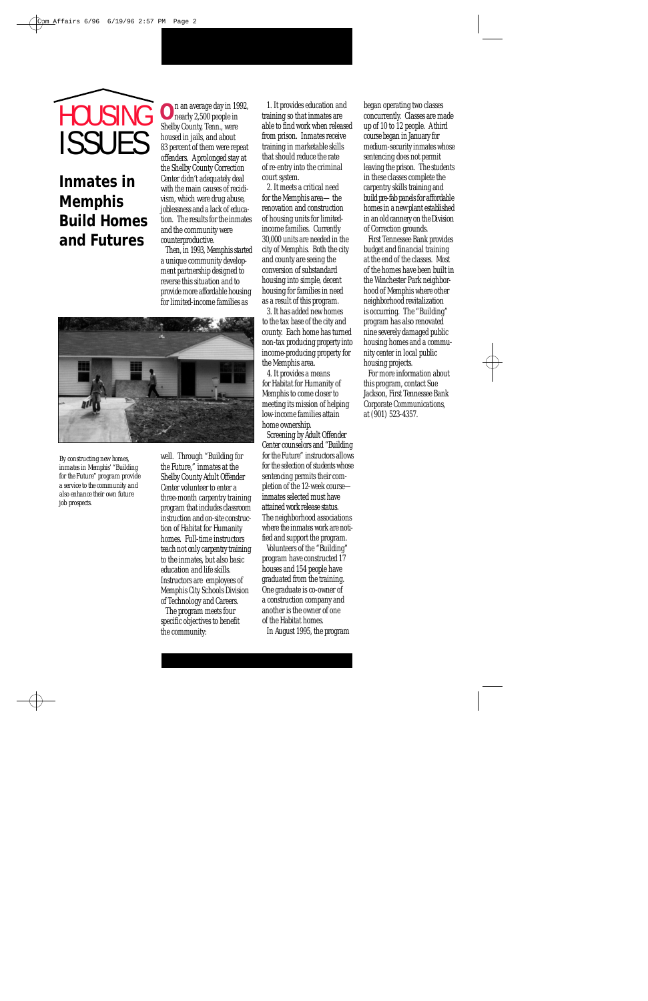# ISSUES **HOUSING**

# **Inmates in Memphis Build Homes and Futures**

**O** n an average day in 1992, nearly 2,500 people in Shelby County, Tenn., were housed in jails, and about 83 percent of them were repeat offenders. A prolonged stay at the Shelby County Correction Center didn't adequately deal with the main causes of recidivism, which were drug abuse, joblessness and a lack of education. The results for the inmates and the community were counterproductive.

Then, in 1993, Memphis started a unique community development partnership designed to reverse this situation and to provide more affordable housing for limited-income families as



*By constructing new homes, inmates in Memphis' "Building for the Future" program provide a service to the community and also enhance their own future job prospects.* 

well. Through "Building for the Future," inmates at the Shelby County Adult Offender Center volunteer to enter a three-month carpentry training program that includes classroom instruction and on-site construction of Habitat for Humanity homes. Full-time instructors teach not only carpentry training to the inmates, but also basic education and life skills. Instructors are employees of Memphis City Schools Division of Technology and Careers.

The program meets four specific objectives to benefit the community:

1. It provides education and training so that inmates are able to find work when released from prison. Inmates receive training in marketable skills that should reduce the rate of re-entry into the criminal court system.

2. It meets a critical need for the Memphis area—the renovation and construction of housing units for limitedincome families. Currently 30,000 units are needed in the city of Memphis. Both the city and county are seeing the conversion of substandard housing into simple, decent housing for families in need as a result of this program.

3. It has added new homes to the tax base of the city and county. Each home has turned non-tax producing property into income-producing property for the Memphis area.

4. It provides a means for Habitat for Humanity of Memphis to come closer to meeting its mission of helping low-income families attain home ownership.

Screening by Adult Offender Center counselors and "Building for the Future" instructors allows for the selection of students whose sentencing permits their completion of the 12-week course inmates selected must have attained work release status. The neighborhood associations where the inmates work are notified and support the program.

Volunteers of the "Building" program have constructed 17 houses and 154 people have graduated from the training. One graduate is co-owner of a construction company and another is the owner of one of the Habitat homes.

In August 1995, the program

began operating two classes concurrently. Classes are made up of  $10$  to  $12$  people. A third course began in January for medium-security inmates whose sentencing does not permit leaving the prison. The students in these classes complete the carpentry skills training and build pre-fab panels for affordable homes in a new plant established in an old cannery on the Division of Correction grounds.

First Tennessee Bank provides budget and financial training at the end of the classes. Most of the homes have been built in the Winchester Park neighborhood of Memphis where other neighborhood revitalization is occurring. The "Building" program has also renovated nine severely damaged public housing homes and a community center in local public housing projects.

For more information about this program, contact Sue Jackson, First Tennessee Bank Corporate Communications, at (901) 523-4357.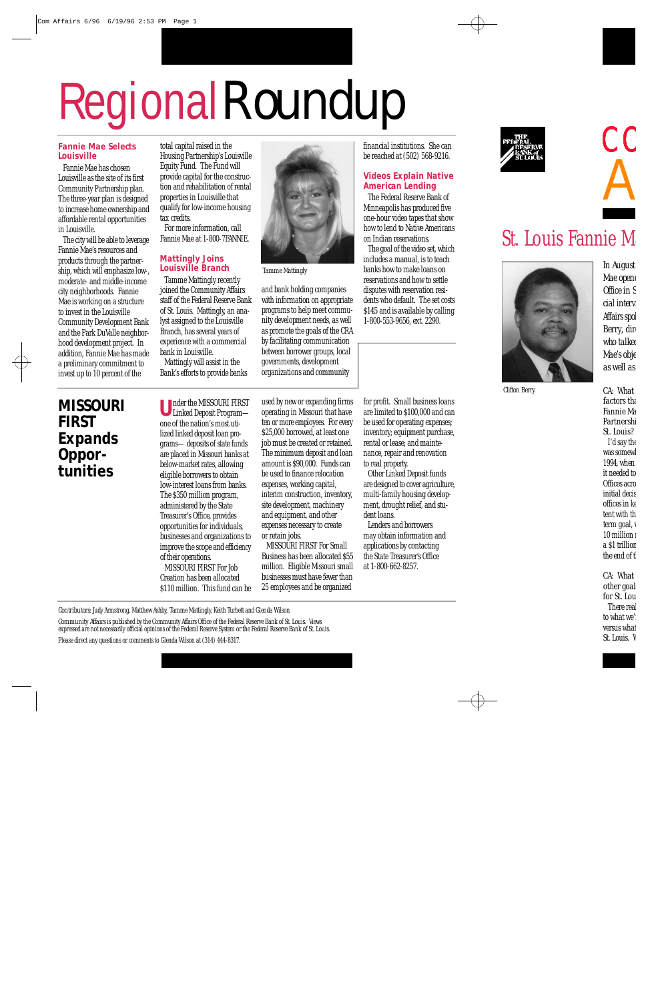# Regional Roundup

#### **Fannie Mae Selects Louisville**

Fannie Mae has chosen Louisville as the site of its first Community Partnership plan. The three-year plan is designed to increase home ownership and affordable rental opportunities in Louisville.

The city will be able to leverage Fannie Mae's resources and products through the partnership, which will emphasize low-, moderate- and middle-income city neighborhoods. Fannie Mae is working on a structure to invest in the Louisville Community Development Bank and the Park DuValle neighborhood development project. In addition, Fannie Mae has made a preliminary commitment to invest up to 10 percent of the

total capital raised in the Housing Partnership's Louisville Equity Fund. The Fund will provide capital for the construction and rehabilitation of rental properties in Louisville that qualify for low-income housing tax credits.

For more information, call Fannie Mae at 1-800-7FANNIE.

## **Mattingly Joins Louisville Branch**

Tamme Mattingly recently joined the Community Affairs staff of the Federal Reserve Bank of St. Louis. Mattingly, an analyst assigned to the Louisville Branch, has several years of experience with a commercial bank in Louisville.

Mattingly will assist in the Bank's efforts to provide banks



*Tamme Mattingly*

and bank holding companies with information on appropriate programs to help meet community development needs, as well as promote the goals of the CRA by facilitating communication between borrower groups, local governments, development organizations and community

financial institutions. She can be reached at (502) 568-9216.

## **Videos Explain Native American Lending**

The Federal Reserve Bank of Minneapolis has produced five one-hour video tapes that show how to lend to Native Americans on Indian reservations.

The goal of the video set, which includes a manual, is to teach banks how to make loans on reservations and how to settle disputes with reservation residents who default. The set costs \$145 and is available by calling 1-800-553-9656, ext. 2290.

# **MISSOURI FIRST Expands** Oppor**tunities**

**U** nder the MISSOURI FIRST Linked Deposit Program one of the nation's most utilized linked deposit loan programs—deposits of state funds are placed in Missouri banks at below-market rates, allowing eligible borrowers to obtain low-interest loans from banks. The \$350 million program, administered by the State Treasurer's Office, provides opportunities for individuals, businesses and organizations to improve the scope and efficiency of their operations. MISSOURI FIRST For Job Creation has been allocated \$110 million. This fund can be

used by new or expanding firms operating in Missouri that have ten or more employees. For every \$25,000 borrowed, at least one job must be created or retained. The minimum deposit and loan amount is \$90,000. Funds can be used to finance relocation expenses, working capital, interim construction, inventory, site development, machinery and equipment, and other expenses necessary to create or retain jobs.

MISSOURI FIRST For Small Business has been allocated \$55 million. Eligible Missouri small businesses must have fewer than 25 employees and be organized

for profit. Small business loans are limited to \$100,000 and can be used for operating expenses; inventory; equipment purchase, rental or lease; and maintenance, repair and renovation to real property.

Other Linked Deposit funds are designed to cover agriculture, multi-family housing development, drought relief, and student loans.

Lenders and borrowers may obtain information and applications by contacting the State Treasurer's Office at 1-800-662-8257.

*Contributors:* Judy Armstrong, Matthew Ashby, Tamme Mattingly, Keith Turbett and Glenda Wilson

*Community Affairs* is published by the Community Affairs Office of the Federal Reserve Bank of St. Louis. Views expressed are not necessarily official opinions of the Federal Reserve System or the Federal Reserve Bank of St. Louis. Please direct any questions or comments to Glenda Wilson at (314) 444-8317.